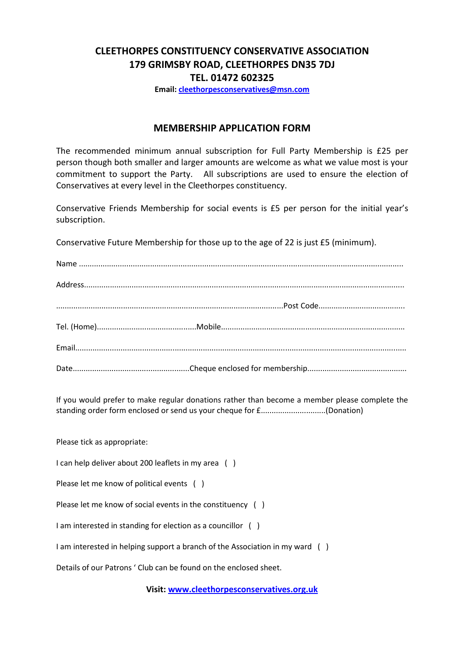## CLEETHORPES CONSTITUENCY CONSERVATIVE ASSOCIATION 179 GRIMSBY ROAD, CLEETHORPES DN35 7DJ TEL. 01472 602325

Email: cleethorpesconservatives@msn.com

## MEMBERSHIP APPLICATION FORM

The recommended minimum annual subscription for Full Party Membership is £25 per person though both smaller and larger amounts are welcome as what we value most is your commitment to support the Party. All subscriptions are used to ensure the election of Conservatives at every level in the Cleethorpes constituency.

Conservative Friends Membership for social events is £5 per person for the initial year's subscription.

Conservative Future Membership for those up to the age of 22 is just £5 (minimum).

If you would prefer to make regular donations rather than become a member please complete the standing order form enclosed or send us your cheque for £..............................(Donation)

Please tick as appropriate:

I can help deliver about 200 leaflets in my area ( )

Please let me know of political events ()

Please let me know of social events in the constituency ( )

I am interested in standing for election as a councillor ( )

I am interested in helping support a branch of the Association in my ward ( )

Details of our Patrons ' Club can be found on the enclosed sheet.

Visit: www.cleethorpesconservatives.org.uk